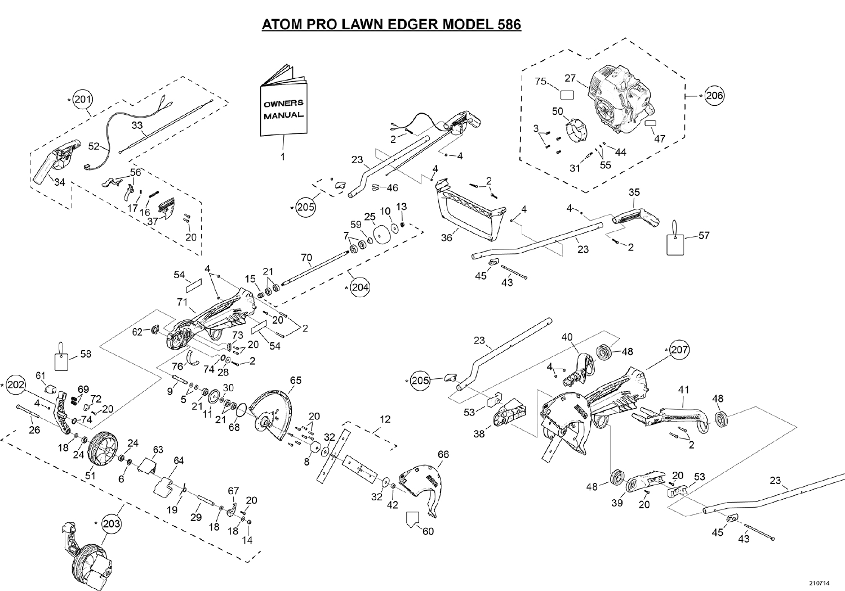## **ATOM PRO LAWN EDGER MODEL 586**